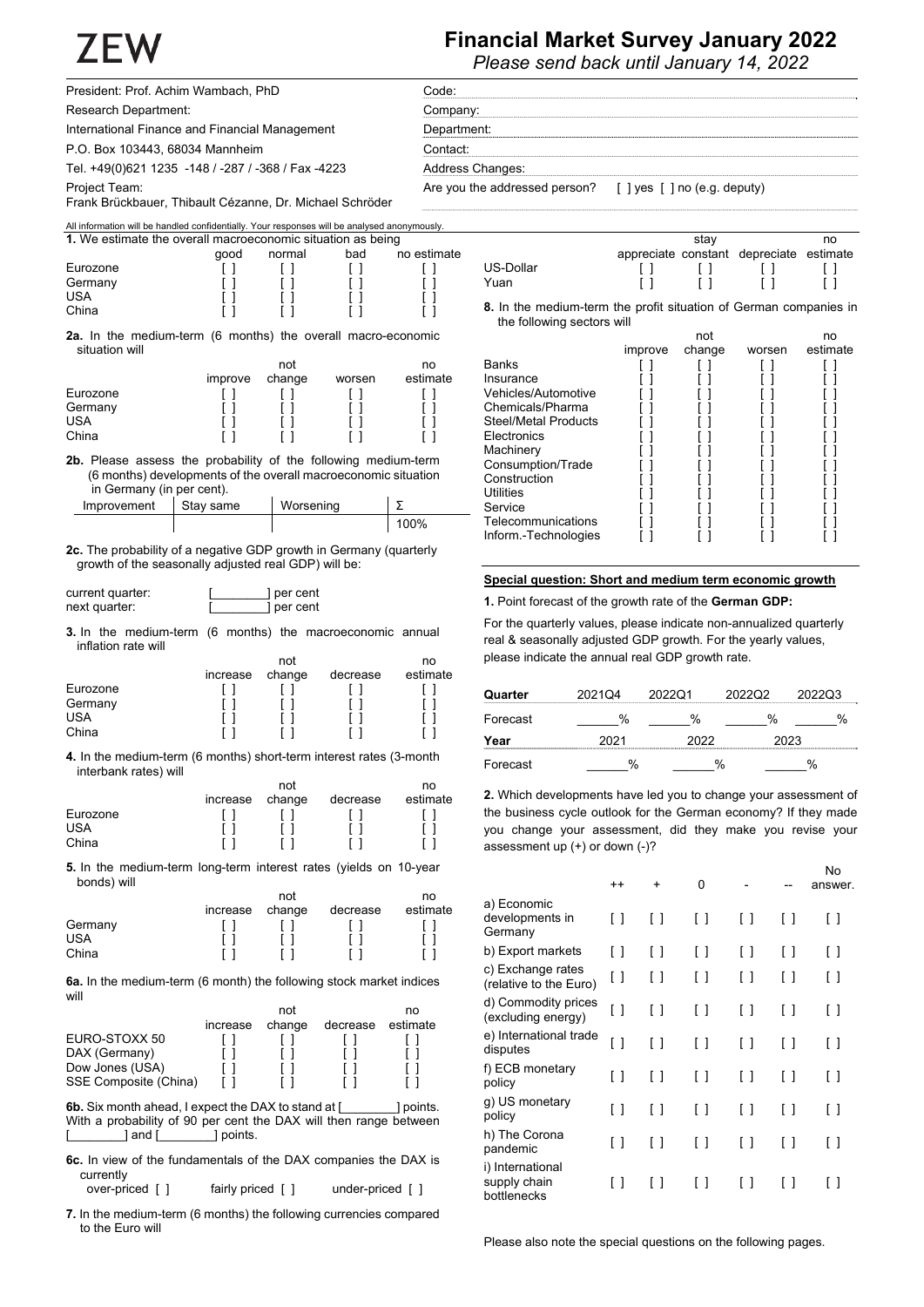# **Financial Market Survey January 2022**

*Please send back until January 14, 2022* 

| President: Prof. Achim Wambach, PhD                | Code:                                                      |
|----------------------------------------------------|------------------------------------------------------------|
| Research Department:                               | Company:                                                   |
| International Finance and Financial Management     | Department:                                                |
| P.O. Box 103443, 68034 Mannheim                    | Contact:                                                   |
| Tel. +49(0)621 1235 -148 / -287 / -368 / Fax -4223 | Address Changes:                                           |
| Project Team:                                      | Are you the addressed person? [ ] yes [ ] no (e.g. deputy) |

All information will be handled confidentially. Your responses will be analysed anonymously.

Frank Brückbauer, Thibault Cézanne, Dr. Michael Schröder

| 1. We estimate the overall macroeconomic situation as being |      |        |     |             |  |  |
|-------------------------------------------------------------|------|--------|-----|-------------|--|--|
|                                                             | aood | normal | bad | no estimate |  |  |
| Eurozone                                                    |      |        |     |             |  |  |
| Germany                                                     |      |        |     |             |  |  |
| <b>USA</b>                                                  |      |        |     |             |  |  |
| China                                                       |      |        |     |             |  |  |

**2a.** In the medium-term (6 months) the overall macro-economic situation will

|            |         | no     |        |          |
|------------|---------|--------|--------|----------|
|            | improve | change | worsen | estimate |
| Eurozone   |         |        |        |          |
| Germany    |         |        |        |          |
| <b>USA</b> |         |        |        |          |
| China      |         |        |        |          |

**2b.** Please assess the probability of the following medium-term (6 months) developments of the overall macroeconomic situation in Germany (in per cent).

| Improvement | Stav same | Worsening |      |
|-------------|-----------|-----------|------|
|             |           |           | 100% |

**2c.** The probability of a negative GDP growth in Germany (quarterly growth of the seasonally adjusted real GDP) will be:

| current quarter: | per cent |
|------------------|----------|
| next quarter:    | per cent |

**3.** In the medium-term (6 months) the macroeconomic annual inflation rate will

|            |          | no     |          |          |
|------------|----------|--------|----------|----------|
|            | increase | change | decrease | estimate |
| Eurozone   |          |        |          |          |
| Germany    |          |        |          |          |
| <b>USA</b> |          |        |          |          |
| China      |          |        |          |          |

**4.** In the medium-term (6 months) short-term interest rates (3-month interbank rates) will not

|            |          | not    |          |          |  |
|------------|----------|--------|----------|----------|--|
|            | increase | change | decrease | estimate |  |
| Eurozone   |          |        |          |          |  |
| <b>USA</b> |          |        |          |          |  |
| China      |          |        |          |          |  |

**5.** In the medium-term long-term interest rates (yields on 10-year bonds) will

|            |          | not    |          |          |  |
|------------|----------|--------|----------|----------|--|
|            | increase | change | decrease | estimate |  |
| Germany    |          |        |          |          |  |
| <b>USA</b> |          |        |          |          |  |
| China      |          |        |          |          |  |

**6a.** In the medium-term (6 month) the following stock market indices will

|                       |          | not    |          | no       |
|-----------------------|----------|--------|----------|----------|
|                       | increase | change | decrease | estimate |
| EURO-STOXX 50         |          |        |          |          |
| DAX (Germany)         |          |        |          |          |
| Dow Jones (USA)       |          |        |          |          |
| SSE Composite (China) |          |        |          |          |

**6b.** Six month ahead, I expect the DAX to stand at [  $\qquad$  ] points. With a probability of 90 per cent the DAX will then range between | and [ \_\_\_\_\_\_\_\_ ] points.

**6c.** In view of the fundamentals of the DAX companies the DAX is currently over-priced [ ] fairly priced [ ] under-priced [ ]

**7.** In the medium-term (6 months) the following currencies compared to the Euro will

appreciate constant depreciate estimate US-Dollar [ ] [ ] [ ] [ ]<br>Yuan [ ] [ ] [ ] [ ] Yuan [ ] [ ] [ ] [ ]

stay

no

**8.** In the medium-term the profit situation of German companies in the following sectors will not no

|                             |         | пог    |        | нυ       |
|-----------------------------|---------|--------|--------|----------|
|                             | improve | change | worsen | estimate |
| <b>Banks</b>                |         |        |        |          |
| Insurance                   |         |        |        |          |
| Vehicles/Automotive         |         |        |        |          |
| Chemicals/Pharma            |         |        |        |          |
| <b>Steel/Metal Products</b> |         |        |        |          |
| Electronics                 |         |        |        |          |
| Machinery                   |         |        |        |          |
| Consumption/Trade           |         |        |        |          |
| Construction                |         |        |        |          |
| Utilities                   |         |        |        |          |
| Service                     |         |        |        |          |
| Telecommunications          |         |        |        |          |
| Inform.-Technologies        |         |        |        |          |
|                             |         |        |        |          |

### **Special question: Short and medium term economic growth**

**1.** Point forecast of the growth rate of the **German GDP:** 

For the quarterly values, please indicate non-annualized quarterly real & seasonally adjusted GDP growth. For the yearly values, please indicate the annual real GDP growth rate.

| Quarter  | 2021Q4 | 202201 | 2022Q2 | 2022Q3 |
|----------|--------|--------|--------|--------|
| Forecast |        |        |        |        |
| Year     |        |        |        |        |
| Forecast |        |        |        |        |

**2.** Which developments have led you to change your assessment of the business cycle outlook for the German economy? If they made you change your assessment, did they make you revise your assessment up (+) or down (-)?

|                                                 | $^{++}$ | ÷                               | 0      |                   |                        | No<br>answer. |
|-------------------------------------------------|---------|---------------------------------|--------|-------------------|------------------------|---------------|
| a) Economic<br>developments in<br>Germany       | []      | []                              | [ ]    | []                | [ ]                    | [ ]           |
| b) Export markets                               | []      | [ ]                             | [ ]    | []                | [ ]                    | [ ]           |
| c) Exchange rates<br>(relative to the Euro)     | [ ]     | ſ<br>$\mathbf{I}$               | []     | -1<br>ſ           | [ ]                    | [ ]           |
| d) Commodity prices<br>(excluding energy)       | ſ<br>1  | ſ<br>$\mathbf{I}$               | $\Box$ | ſ<br>-1           | $\left[ \quad \right]$ | [ ]           |
| e) International trade<br>disputes              | ſ<br>1  | ſ<br>$\mathbf{I}$               | [ ]    | []                | []                     | []            |
| f) ECB monetary<br>policy                       | []      | [ ]                             | [ ]    | [ ]               | [ ]                    | [ ]           |
| g) US monetary<br>policy                        | -1<br>ſ | $\begin{bmatrix} \end{bmatrix}$ | $\Box$ | ſ<br>$\mathbf{I}$ | I l                    | [ ]           |
| h) The Corona<br>pandemic                       | []      | ſ<br>$\mathbf{I}$               | [ ]    | ſ<br>-1           | [ ]                    | []            |
| i) International<br>supply chain<br>bottlenecks | Ιl      | $\overline{\phantom{a}}$<br>ſ   | ſΙ     | $\mathbf{I}$<br>ſ | [ ]                    | [ ]           |

Please also note the special questions on the following pages.